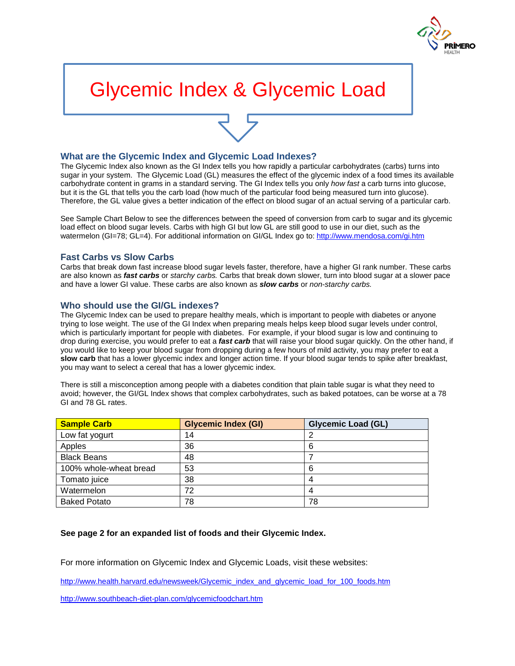

# Glycemic Index & Glycemic Load

## **What are the Glycemic Index and Glycemic Load Indexes?**

The Glycemic Index also known as the GI Index tells you how rapidly a particular carbohydrates (carbs) turns into sugar in your system. The Glycemic Load (GL) measures the effect of the glycemic index of a food times its available carbohydrate content in grams in a standard serving. The GI Index tells you only *how fast* a carb turns into glucose, but it is the GL that tells you the carb load (how much of the particular food being measured turn into glucose). Therefore, the GL value gives a better indication of the effect on blood sugar of an actual serving of a particular carb.

See Sample Chart Below to see the differences between the speed of conversion from carb to sugar and its glycemic load effect on blood sugar levels. Carbs with high GI but low GL are still good to use in our diet, such as the watermelon (GI=78; GL=4). For additional information on GI/GL Index go to[: http://www.mendosa.com/gi.htm](http://www.mendosa.com/gi.htm)

## **Fast Carbs vs Slow Carbs**

Carbs that break down fast increase blood sugar levels faster, therefore, have a higher GI rank number. These carbs are also known as *fast carbs* or *starchy carbs.* Carbs that break down slower, turn into blood sugar at a slower pace and have a lower GI value. These carbs are also known as *slow carbs* or *non-starchy carbs.*

### **Who should use the GI/GL indexes?**

The Glycemic Index can be used to prepare healthy meals, which is important to people with diabetes or anyone trying to lose weight. The use of the GI Index when preparing meals helps keep blood sugar levels under control, which is particularly important for people with diabetes. For example, if your blood sugar is low and continuing to drop during exercise, you would prefer to eat a *fast carb* that will raise your blood sugar quickly. On the other hand, if you would like to keep your blood sugar from dropping during a few hours of mild activity, you may prefer to eat a **slow carb** that has a lower glycemic index and longer action time. If your blood sugar tends to spike after breakfast, you may want to select a cereal that has a lower glycemic index.

There is still a misconception among people with a diabetes condition that plain table sugar is what they need to avoid; however, the GI/GL Index shows that complex carbohydrates, such as baked potatoes, can be worse at a 78 GI and 78 GL rates.

| <b>Sample Carb</b>     | <b>Glycemic Index (GI)</b> | <b>Glycemic Load (GL)</b> |
|------------------------|----------------------------|---------------------------|
| Low fat yogurt         | 14                         |                           |
| Apples                 | 36                         | 6                         |
| <b>Black Beans</b>     | 48                         |                           |
| 100% whole-wheat bread | 53                         | 6                         |
| Tomato juice           | 38                         |                           |
| Watermelon             | 72                         |                           |
| <b>Baked Potato</b>    | 78                         | 78                        |

### **See page 2 for an expanded list of foods and their Glycemic Index.**

For more information on Glycemic Index and Glycemic Loads, visit these websites:

[http://www.health.harvard.edu/newsweek/Glycemic\\_index\\_and\\_glycemic\\_load\\_for\\_100\\_foods.htm](http://www.health.harvard.edu/newsweek/Glycemic_index_and_glycemic_load_for_100_foods.htm)

<http://www.southbeach-diet-plan.com/glycemicfoodchart.htm>